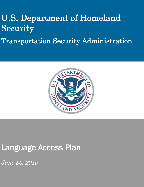# U.S. Department of Homeland Security

Transportation Security Administration



## Language Access Plan

June 30, 2015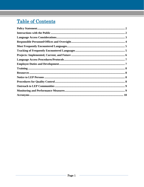### **Table of Contents**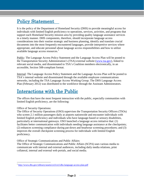#### <span id="page-2-0"></span>Policy Statement

It is the policy of the Department of Homeland Security (DHS) to provide meaningful access for individuals with limited English proficiency to operations, services, activities, and programs that support each Homeland Security mission area by providing quality language assistance services in a timely manner. DHS components, therefore, should incorporate language access considerations into their routine strategic and business planning, identify and translate crucial documents into the most frequently encountered languages, provide interpretive services where appropriate, and educate personnel about language access responsibilities and how to utilize available language access resources.<sup>[1](#page-2-2)</sup>

Public: The Language Access Policy Statement and the Language Access Plan will be posted to the Transportation Security Administration's (TSA) external website [\(www.tsa.gov\)](http://www.tsa.gov/), linked to relevant social media, and disseminated to TSA's Coalition members electronically, in an accessible, Section 508-compliant format.

Internal: The Language Access Policy Statement and the Language Access Plan will be posted to TSA's internal website and disseminated through the available employee communications networks, including the TSA Language Access Working Group. The DHS Language Access Plan (February 2012) was distributed to the workforce through the Assistant Administrators.

#### <span id="page-2-1"></span>Interactions with the Public

The offices that have the most frequent interaction with the public, especially communities with limited English proficiency, are the following:

#### Office of Security Operations:

The Office of Security Operations (OSO) supervises the Transportation Security Officers (TSOs) who screen 2.1 million passengers daily at airports nationwide and encounter individuals with limited English proficiency and individuals who have language-based or sensory disabilities, particularly at international gateways. OSO launched a language access initiative that: (1) facilitates better communication with individuals needing language assistance at the checkpoints; (2) enhances screening compliance during pat-down and headwear screening procedures; and (3) improves the overall checkpoint screening process for individuals with limited English proficiency.

Office of Strategic Communications and Public Affairs:

The Office of Strategic Communications and Public Affairs (SCPA) uses various media to communicate with internal and external audiences, including daily media relations, print collateral, internal and external web portals, and social media.

<span id="page-2-2"></span> <sup>1</sup> <http://www.dhs.gov/xlibrary/assets/crcl/crcl-dhs-language-access-plan.pdf>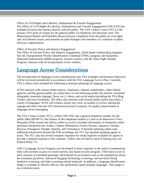Office of Civil Rights and Liberties, Ombudsman & Traveler Engagement: The Office of Civil Rights & Liberties, Ombudsman and Traveler Engagement (CRL/OTE) has multiple divisions that interact directly with the public. The TSA Contact Center (TCC) is the primary TSA point of contact for the general public via telephone and electronic mail. The Multicultural Branch and Disability Branch process complaints from the public on civil rights and civil liberties issues, and maintain an open dialogue with members of a coalition of public advocacy organizations.

Office of Security Policy and Industry Engagement:

The Office of Security Policy and Industry Engagement, which heads credentialing programs like the Transportation Worker Identification Credential (TWIC) program, the Hazardous Materials Endorsement (HME) program, aviation workers, and the Alien Flight Student Program, interacts with all transportation sector workers.

#### <span id="page-3-0"></span>Language Access Considerations

The incorporation of language access considerations into TSA strategies and business objectives will be reviewed periodically in accordance with the TSA Language Access Plan. Currently, TSA's offices have included the following in business planning for language access:

SCPA interacts with various media sources, employees, industry stakeholders, other federal agencies and the general public on a daily basis via the following media: the internet, translated infographic materials (signage, flyers, etc.), videos, and social media (including the TSA Blog, Twitter, and soon Facebook). The office also interacts with several media outlets that utilize a variety of languages. SCPA will conduct airport site visits, as needed, to review checkpoint signage and other relevant TSA information posted in airports, for quality improvement in language access messaging.

The TSA Contact Center (TCC), within CRL/OTE, has a general telephone number for the public (866-289-9673). One feature of this telephone number is a link to an Interactive Voice Response (IVR) system that allows callers to receive recorded information on frequently asked questions interpreted into Arabic, Chinese (Mandarin), French, Korean, Japanese, German, Russian, Portuguese, Punjabi, Spanish, and Vietnamese. If Spanish-speaking callers seek additional information beyond the IVR recordings, the TCC has Spanish-speaking agents to assist. The TCC also has several template responses for email inquiries available for agents to provide a Spanish response to the customer. Callers who are deaf or hard of hearing may use Federal Relay 711.

OSO's Language Access Program was developed in direct response to the need to communicate fully with travelers as part of a multi-layered, risk-based security program. TSOs have access to print versions of translated passenger advisements for procedures such as the standard pat-down, the resolution pat-down, Advanced Imaging Technology screening, and non-form-fitting headwear screening, and other screening related materials. In addition, a language identification badge is available to identify officers who proficiently speak multiple languages. This badge is on a voluntary basis.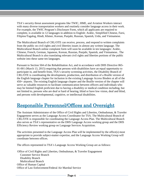TSA's security threat assessment programs like TWIC, HME, and Aviation Workers interact with many diverse transportation workers and routinely consider language access in their work. For example, the TWIC Program's Disclosure Form, which all applicants are required to complete, is available in 12 languages in addition to English: Arabic, Simplified Chinese, Farsi, Filipino/Tagalog, Hindi, Khmer, Korean, Punjabi, Russian, Spanish, Urdu, and Vietnamese.

The Multicultural Branch of CRL/OTE can receive, process, and respond to written complaints from the public on civil rights and civil liberties issues in almost any written language. The Multicultural Branch online complaint form will soon be available in ten languages: Arabic, Chinese, French, German, Japanese, Korean, Russian, Punjabi, Spanish, and Vietnamese.. The Multicultural Branch is also translating relevant civil rights and liberties portions of the public website into these same ten languages.

Pursuant to Section 504 of the Rehabilitation Act, and in accordance with DHS Directive 065- 01-001 (March 13, 2015) requiring that persons with disabilities have an equal opportunity to participate in, and benefit from, TSA's security screening activities, the Disability Branch of CRL/OTE is coordinating the development, production, and distribution of a Braille version of the English language chapter for inclusion in the existing Language Access Binders at all of the 450+ airports. The existing English language chapter and the Braille version of the chapter will serve as valuable resources to facilitate communication between officers and individuals who may be limited English proficient due to having a disability or medical condition including, but not limited to, persons who are deaf or hard of hearing, blind or have low vision, deaf and blind, and persons with developmental, cognitive, or intellectual disabilities.

#### <span id="page-4-0"></span>Responsible Personnel/Offices and Oversight

The Assistant Administrator of the Office of Civil Rights and Liberties, Ombudsman, & Traveler Engagement serves as the Language Access Coordinator for TSA. The Multicultural Branch of CRL/OTE is responsible for coordinating the Language Access Plan. The Multicultural Branch also serves as TSA's representative on the DHS Language Access working group and the DHS Efficiency Review working group on Language Services Acquisition.

The activities presented in the Language Access Plan will be implemented by the office(s) most appropriate to provide subject-matter expertise, and the Language Access Working Group will coordinate between offices.

The offices represented in TSA's Language Access Working Group are as follows:

 Office of Civil Rights and Liberties, Ombudsman, & Traveler Engagement Customer Service Branch Disability Branch Multicultural Branch Office of Human Capital Office of Law Enforcement/Federal Air Marshal Service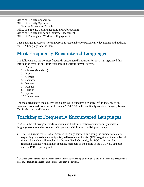Office of Security Capabilities Office of Security Operations Security Procedures Branch Office of Strategic Communications and Public Affairs Office of Security Policy and Industry Engagement Office of Training and Workforce Engagement

TSA's Language Access Working Group is responsible for periodically developing and updating the TSA Language Access Plan.

#### <span id="page-5-0"></span>Most Frequently Encountered Languages

The following are the 10 most frequently encountered languages for TSA. TSA gathered this information over the past four years through various internal surveys.

- 1. Arabic
- 2. Chinese (Mandarin)
- 3. French
- 4. German
- 5. Japanese
- 6. Korean
- 7. Punjabi
- 8. Russian
- 9. Spanish
- 10. Vietnamese

The most frequently encountered languages will be updated periodically.<sup>[2](#page-5-2)</sup> In fact, based on comments solicited from the public in late 2014, TSA will specifically consider Bengali, Telugu, Tamil, Gujarati, and Hmong.

#### <span id="page-5-1"></span>Tracking of Frequently Encountered Languages

TSA uses the following methods to obtain and track information about currently available language services and encounters with persons with limited English proficiency:

• The TCC tracks the use of all Spanish-language services, including the number of callers requesting live assistance in Spanish, self-service in Spanish (IVR usage), and the number of times a Spanish email template has been utilized. Currently, the TCC maintains data regarding contact with Spanish-speaking members of the public in the TCC v3.0 database and the IVR Reporting tool.

<span id="page-5-2"></span> $\frac{1}{2}$  $\frac{2}{3}$  OSO has created translation materials for use in security screening of individuals and their accessible property in a total of 25 foreign languages based on feedback from the airports.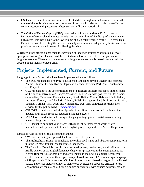- OSO's advisement translation initiative collected data through internal surveys to assess the usage of the tools being tested and the value of the tools in order to provide more effective communication with passengers. These surveys will occur periodically.
- The Office of Human Capital (OHC) launched an initiative in March 2013 to identify instances of work-related interactions with persons with limited English proficiency by the HRAccess Help Desk. Due to the low volume of such calls received by the HRAccess Help Desk, OHC will be creating the reports manually on a monthly and quarterly basis, instead of providing an automated means of collecting this data.

Currently, other offices do not track the provision of language assistance services. However, appropriate tracking mechanisms will be created as each office provides or supports new language services. The overall maintenance of language access data is task-driven and will be updated in the Plan as projects arise.

#### <span id="page-6-0"></span>Projects: Implemented, Current, and Future

Language Access Projects that have been implemented are as follows:

- The TCC has expanded its IVR to include ten languages beyond English and Spanish: Arabic, Chinese, French, Korean, Japanese, German, Russian, Portuguese, Vietnamese, and Punjabi.
- OSO has expanded the use of translations of passenger advisements based on the results of the pilot initiative into 25 languages, as well as English, with positive results: Arabic, Cambodian, Cantonese, French, German, Greek, Haitian Creole, Hebrew, Hindi, Italian, Japanese, Korean, Lao, Mandarin Chinese, Polish, Portuguese, Punjabi, Russian, Spanish, Tagalog, Turkish, Thai, Urdu, and Vietnamese. SCPA has contracted for translation services for the public website, [www.tsa.gov.](http://www.tsa.gov/)
- CRL/OTE has cultivated relationships with its coalition members and routinely gives updates and solicits feedback regarding language access.
- SCPA has created universal checkpoint signage/infographics to assist in overcoming potential language barriers.
- OHC launched an initiative in March 2013 to identify instances of work-related interactions with persons with limited English proficiency at the HRAccess Help Desk.

Language Access Projects that are being planned:

- TWIC is translating an updated disclosure form into Spanish.
- The Multicultural Branch is translating the online civil rights and liberties complaint form into the ten most frequently encountered languages.
- The Disability Branch is coordinating the development, production, and distribution of a Braille version of the English language chapter for placement in the existing Language Access Binders. Use of graphics and advisements in the English language chapter to create a Braille version of the chapter was preferred over use of American Sign Language (ASL) pictorials. This is because ASL has different dialects based on region in the United States, and visual pictures of how to sign words depicted on paper are difficult to read and/or translate consistently. Using graphics or pictorials with concise advisements, and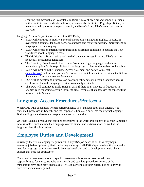ensuring this material also is available in Braille, may allow a broader range of persons with disabilities and medical conditions, who may also be limited English proficient, to have an equal opportunity to participate in, and benefit from, TSA's security screening activities.

Language Access Project ideas for the future (FY15-17):

- SCPA will continue to modify universal checkpoint signage/infographics to assist in overcoming potential language barriers as needed and review for quality improvement in language access messaging.
- SCPA will create an internal communications awareness campaign to educate the TSA workforce about Language Access.
- The Multicultural Branch will translate the Language Access Plan into TSA's ten most frequently encountered languages.
- The Disability Branch would like to have "American Sign Language" added as a nameplate option for those proficient in the language to identify themselves to the public.
- SCPA will post both the Language Access Statement and policy to internet [\(www.tsa.gov\)](http://www.tsa.gov/) and intranet portals. SCPA will use social media to disseminate the link to the agency's Language Access Statement.
- TSA will be developing protocols on how to identify persons needing language access and how to obtain the language services reasonably available.
- The TCC will continue to track trends in data. If there is an increase in frequency in Spanish calls regarding a certain topic, the email template that addresses the topic will be translated into Spanish.

#### <span id="page-7-0"></span>Language Access Procedures/Protocols

When CRL/OTE encounters written correspondence in a language other than English, it is translated, processed in English, and the response is translated back into the original language. Both the English and translated response are sent to the writer.

OSO has issued a directive that outlines procedures to the workforce on how to use the Language Access tools, which include the Language Access Binder and its translations as well as the language identification badges.

#### <span id="page-7-1"></span>Employee Duties and Development

Currently, there is no language requirement in any TSA job description. TSA may begin assessing job descriptions by first conducting a survey of all 450+ airports to identify where the need for language requirements would be most beneficial, and to develop a strategic plan to address that need (as applicable).

The use of written translations of specific passenger advisements does not add new responsibilities for TSOs. Translation materials and standard procedures for use of the translations have been provided to assist TSOs in carrying out their current duties to provide such advisements as required.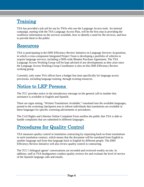#### <span id="page-8-0"></span>**Training**

TSA has provided a job aid for use by TSOs who use the Language Access tools. An internal campaign, starting with the TSA Language Access Plan, will be the first step in providing the workforce information on the services available, how to identify a need for the services, and how to provide them to the public.

#### <span id="page-8-1"></span>Resources

TSA is participating in the DHS Efficiency Review Initiative on Language Services Acquisition, in which a cross-component Integrated Project Team is developing a portfolio of vehicles to acquire language services, including a DHS-wide Blanket Purchase Agreement. The TSA Language Access Working Group will be kept advised of any developments as they arise since the Language Access Working Group Coordinator is also on this DHS Efficiency Review working group.

Currently, only some TSA offices have a budget line item specifically for language access provisions, including language training, through existing resources.

#### <span id="page-8-2"></span>Notice to LEP Persons

The TCC provides notice in the introductory message on the general call-in number that assistance is available in English and Spanish.

There are signs stating, "Written Translations Available," translated into the available languages, posted in the screening checkpoint area to inform individuals that translations are available in these languages for specific screening advisements or procedures.

The Civil Rights and Liberties Online Complaint Form notifies the public that TSA is able to handle complaints that are submitted in different languages.

#### <span id="page-8-3"></span>Procedures for Quality Control

TSA measures quality control in translation contracting by requesting back-to-front translations in each translation contract, which means that the document will be translated from English to another language and from that language back to English by different people. The DHS Efficiency Review Initiative will also review quality control in contracting.

The TCC's bilingual agents' conversations are recorded and reviewed weekly on-site. In addition, staff at TSA headquarters conduct quality reviews for and evaluate the level of service of the Spanish language calls and emails.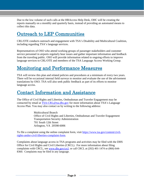Due to the low volume of such calls at the HRAccess Help Desk, OHC will be creating the reports manually on a monthly and quarterly basis, instead of providing an automated means to collect this data.

#### <span id="page-9-0"></span>Outreach to LEP Communities

CRL/OTE conducts outreach and engagement with TSA's Disability and Multicultural Coalition, including regarding TSA's language services.

Representatives of OSO who attend working groups of passenger stakeholders and customer service personnel in airports regularly hear issues and gather important information and feedback from the traveling public. OSO will provide information related to ongoing efforts to improve language services to CRL/OTE and members of the TSA Language Access Working Group.

#### <span id="page-9-1"></span>Monitoring and Performance Measures

TSA will review this plan and related policies and procedures at a minimum of every two years. There will be occasional internal field surveys to monitor and evaluate the use of the advisement translations by OSO. TSA will also seek public feedback as part of its efforts to monitor language access.

#### Contact Information and Assistance

The Office of Civil Rights and Liberties, Ombudsman and Traveler Engagement may be contacted by email at [TSA-CRL@tsa.dhs.gov](mailto:TSA-CRL@tsa.dhs.gov) for more information about TSA's Language Access Plan. You may also contact us by writing to the following address:

> Multicultural Branch Office of Civil Rights and Liberties, Ombudsman and Traveler Engagement Transportation Security Administration 701 South 12th Street Arlington, VA 20598-6006

To file a complaint using the online complaint form, visit [https://www.tsa.gov/content/civil](https://www.tsa.gov/content/civil-rights-andor-civil-liberties-complaint-form)[rights-andor-civil-liberties-complaint-form.](https://www.tsa.gov/content/civil-rights-andor-civil-liberties-complaint-form)

Complaints about language access in TSA programs and activities may be filed with the DHS Office for Civil Rights and Civil Liberties (CRCL). For more information about filing complaints with CRCL, see [www.dhs.gov/crcl,](http://www.dhs.gov/crcl) or call CRCL at (202) 401-1474 or (866) 644-8360. Complaints may be filed in any language.